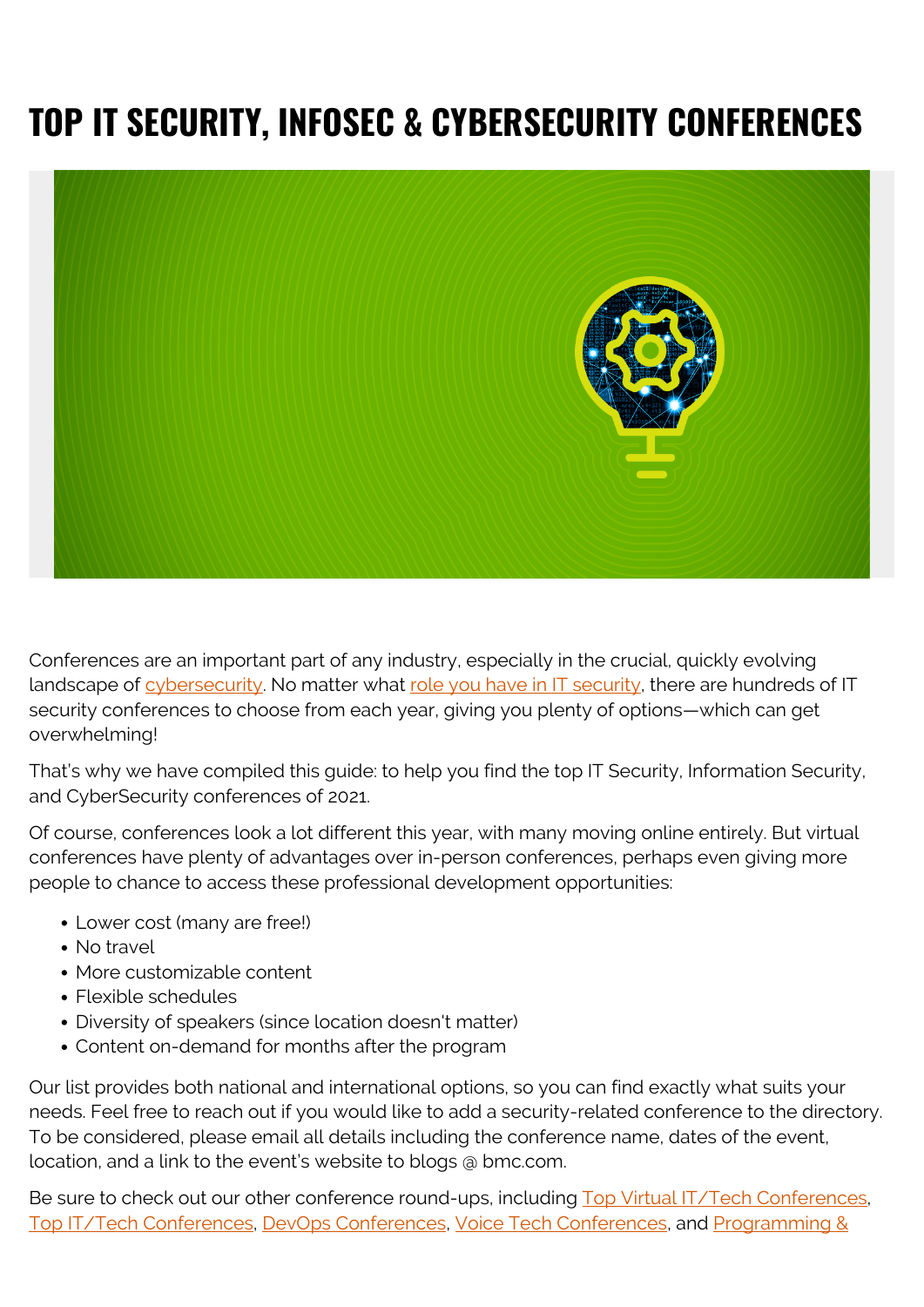# **TOP IT SECURITY, INFOSEC & CYBERSECURITY CONFERENCES**



Conferences are an important part of any industry, especially in the crucial, quickly evolving landscape of [cybersecurity](https://blogs.bmc.com/blogs/cybersecurity/). No matter what [role you have in IT security](https://blogs.bmc.com/blogs/secops-roles/), there are hundreds of IT security conferences to choose from each year, giving you plenty of options—which can get overwhelming!

That's why we have compiled this guide: to help you find the top IT Security, Information Security, and CyberSecurity conferences of 2021.

Of course, conferences look a lot different this year, with many moving online entirely. But virtual conferences have plenty of advantages over in-person conferences, perhaps even giving more people to chance to access these professional development opportunities:

- Lower cost (many are free!)
- No travel
- More customizable content
- Flexible schedules
- Diversity of speakers (since location doesn't matter)
- Content on-demand for months after the program

Our list provides both national and international options, so you can find exactly what suits your needs. Feel free to reach out if you would like to add a security-related conference to the directory. To be considered, please email all details including the conference name, dates of the event, location, and a link to the event's website to blogs @ bmc.com.

Be sure to check out our other conference round-ups, including [Top Virtual IT/Tech Conferences,](https://blogs.bmc.com/blogs/virtual-tech-it-conferences/) [Top IT/Tech Conferences](https://blogs.bmc.com/blogs/tech-it-conferences/), [DevOps Conferences,](https://blogs.bmc.com/blogs/devops-conferences/) [Voice Tech Conferences,](https://www.bmc.com/blogs/voice-tech-conferences/) and [Programming &](https://blogs.bmc.com/blogs/software-development-programming-conferences/)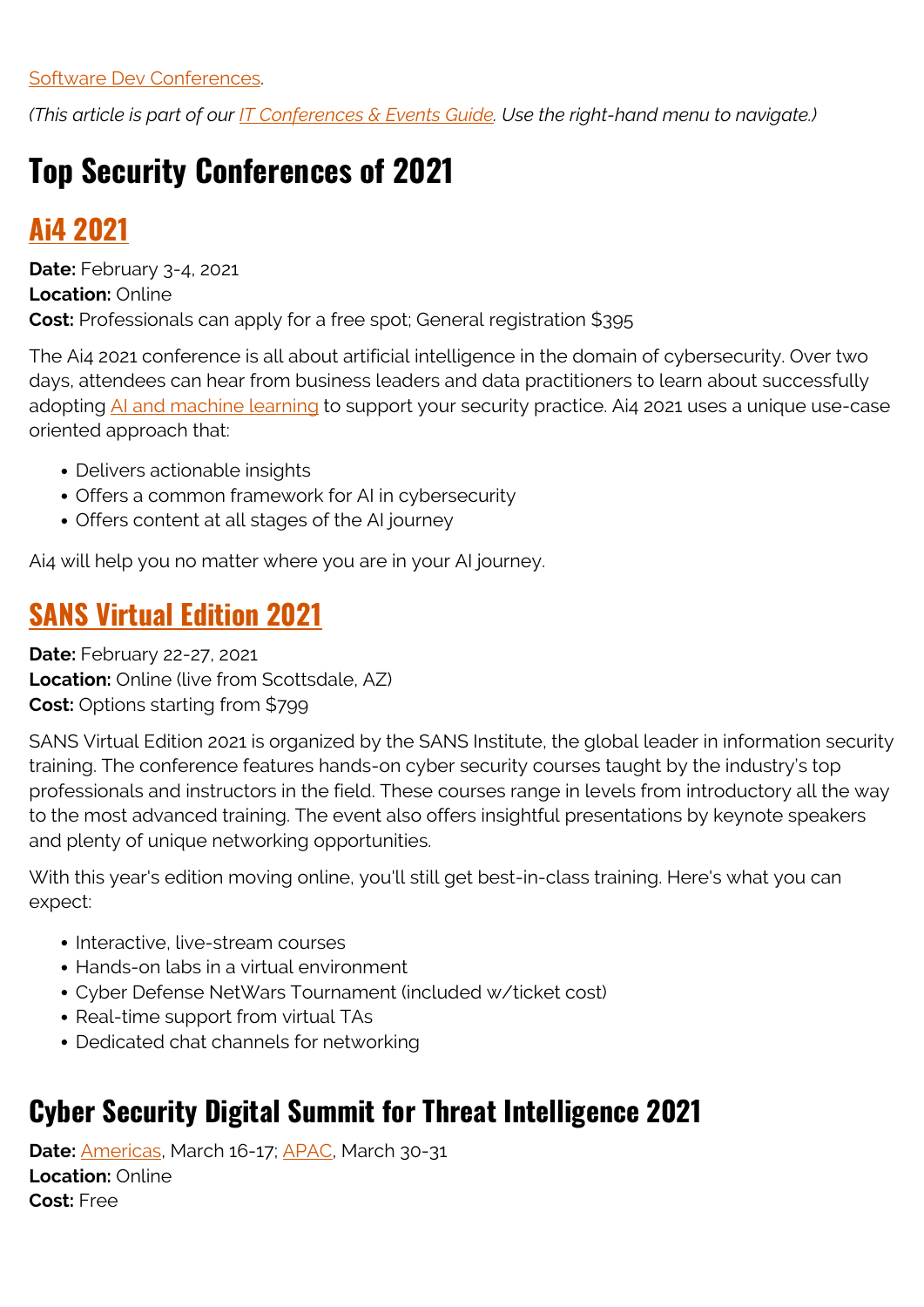[Software Dev Conferences.](https://blogs.bmc.com/blogs/software-development-programming-conferences/)

*(This article is part of our [IT Conferences & Events Guide](https://blogs.bmc.com/blogs/tech-it-conferences/). Use the right-hand menu to navigate.)*

# **Top Security Conferences of 2021**

## **[Ai4 2021](https://ai4.io/cybersecurity)**

**Date:** February 3-4, 2021 **Location:** Online **Cost:** Professionals can apply for a free spot; General registration \$395

The Ai4 2021 conference is all about artificial intelligence in the domain of cybersecurity. Over two days, attendees can hear from business leaders and data practitioners to learn about successfully adopting [AI and machine learning](https://blogs.bmc.com/blogs/artificial-intelligence-vs-machine-learning/) to support your security practice. Ai4 2021 uses a unique use-case oriented approach that:

- Delivers actionable insights
- Offers a common framework for AI in cybersecurity
- Offers content at all stages of the AI journey

Ai4 will help you no matter where you are in your AI journey.

## **[SANS Virtual Edition 2021](https://www.sans.org/event/scottsdale-virtual-edition-2021)**

**Date:** February 22-27, 2021 **Location:** Online (live from Scottsdale, AZ) **Cost:** Options starting from \$799

SANS Virtual Edition 2021 is organized by the SANS Institute, the global leader in information security training. The conference features hands-on cyber security courses taught by the industry's top professionals and instructors in the field. These courses range in levels from introductory all the way to the most advanced training. The event also offers insightful presentations by keynote speakers and plenty of unique networking opportunities.

With this year's edition moving online, you'll still get best-in-class training. Here's what you can expect:

- Interactive, live-stream courses
- Hands-on labs in a virtual environment
- Cyber Defense NetWars Tournament (included w/ticket cost)
- Real-time support from virtual TAs
- Dedicated chat channels for networking

## **Cyber Security Digital Summit for Threat Intelligence 2021**

**Date:** [Americas](https://www.cshub.com/events-cyber-security-digital-summit-threat-intelligence-americas/), March 16-17; [APAC](https://www.cshub.com/events-cyber-security-digital-summit-threat-intelligence-apac/), March 30-31 **Location:** Online **Cost:** Free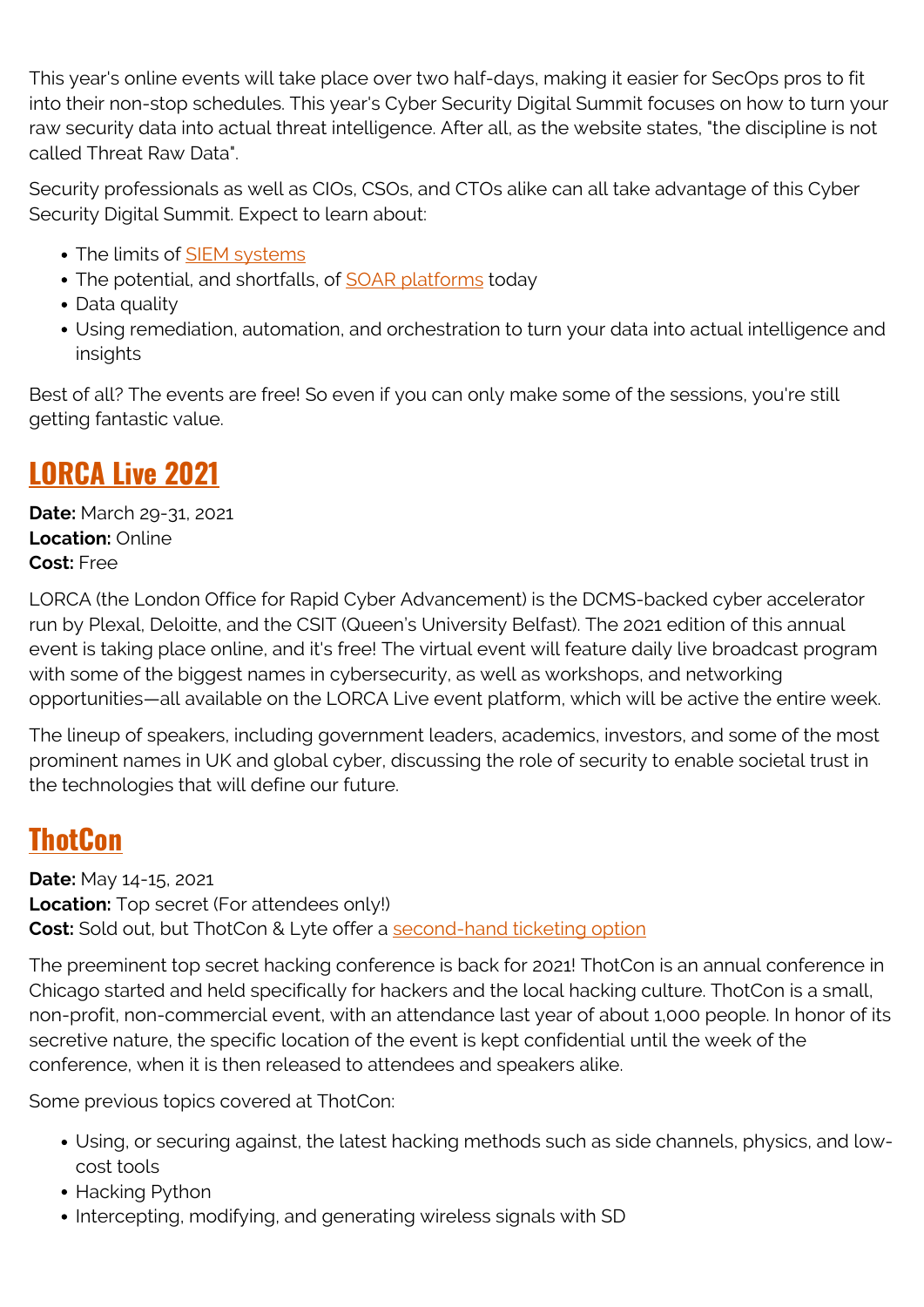This year's online events will take place over two half-days, making it easier for SecOps pros to fit into their non-stop schedules. This year's Cyber Security Digital Summit focuses on how to turn your raw security data into actual threat intelligence. After all, as the website states, "the discipline is not called Threat Raw Data".

Security professionals as well as CIOs, CSOs, and CTOs alike can all take advantage of this Cyber Security Digital Summit. Expect to learn about:

- The limits of [SIEM systems](https://blogs.bmc.com/blogs/siem-security-information-event-management/)
- The potential, and shortfalls, of **SOAR platforms** today
- Data quality
- Using remediation, automation, and orchestration to turn your data into actual intelligence and insights

Best of all? The events are free! So even if you can only make some of the sessions, you're still getting fantastic value.

## **[LORCA Live 2021](https://www.lorcalive.co.uk/)**

**Date:** March 29-31, 2021 **Location:** Online **Cost:** Free

LORCA (the London Office for Rapid Cyber Advancement) is the DCMS-backed cyber accelerator run by Plexal, Deloitte, and the CSIT (Queen's University Belfast). The 2021 edition of this annual event is taking place online, and it's free! The virtual event will feature daily live broadcast program with some of the biggest names in cybersecurity, as well as workshops, and networking opportunities—all available on the LORCA Live event platform, which will be active the entire week.

The lineup of speakers, including government leaders, academics, investors, and some of the most prominent names in UK and global cyber, discussing the role of security to enable societal trust in the technologies that will define our future.

## **[ThotCon](https://thotcon.org/)**

**Date:** May 14-15, 2021 **Location:** Top secret (For attendees only!) **Cost:** Sold out, but ThotCon & Lyte offer a [second-hand ticketing option](https://thotcon.lyte.com/118057/)

The preeminent top secret hacking conference is back for 2021! ThotCon is an annual conference in Chicago started and held specifically for hackers and the local hacking culture. ThotCon is a small, non-profit, non-commercial event, with an attendance last year of about 1,000 people. In honor of its secretive nature, the specific location of the event is kept confidential until the week of the conference, when it is then released to attendees and speakers alike.

Some previous topics covered at ThotCon:

- Using, or securing against, the latest hacking methods such as side channels, physics, and lowcost tools
- Hacking Python
- Intercepting, modifying, and generating wireless signals with SD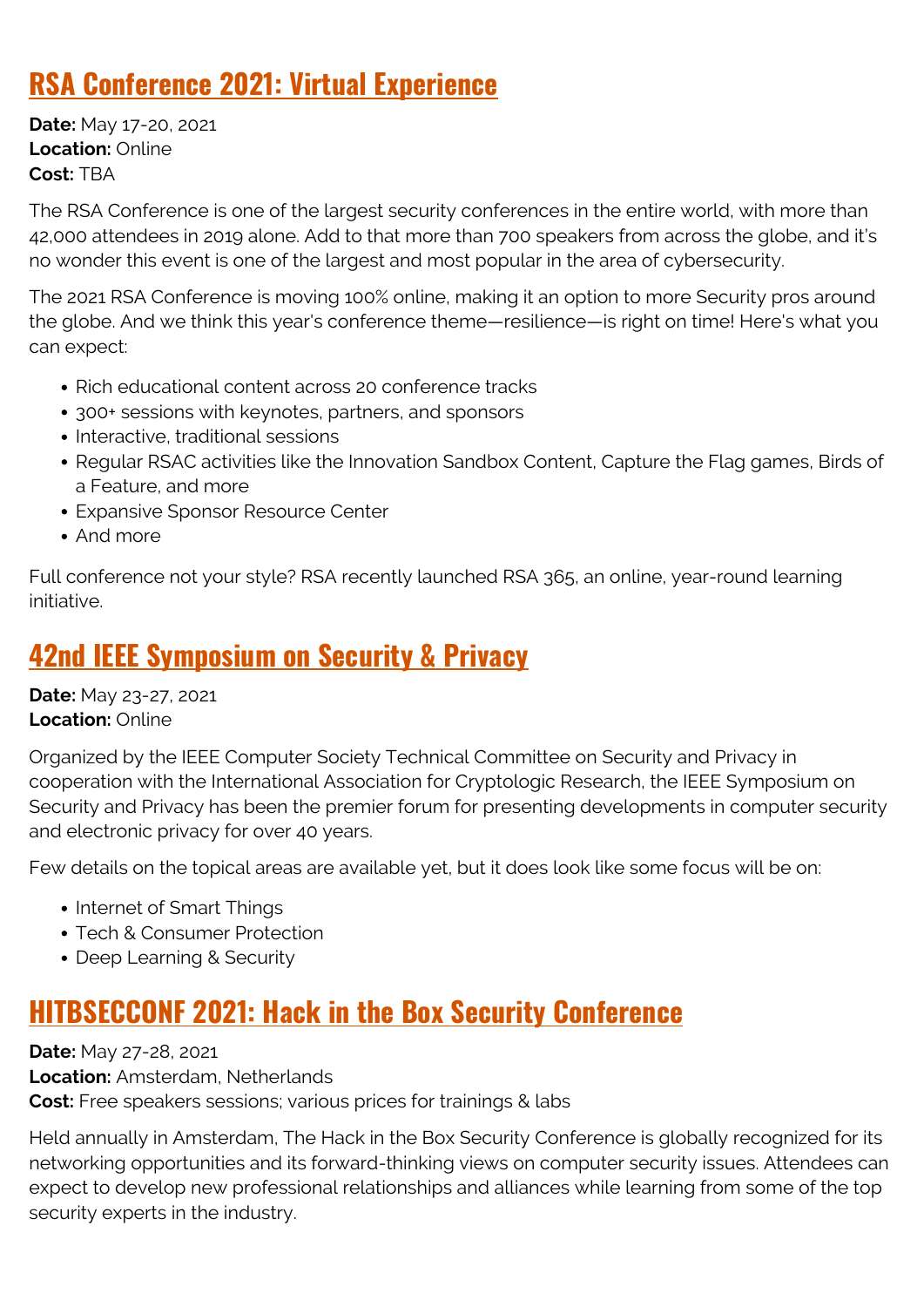## **[RSA Conference 2021: Virtual Experience](https://www.rsaconference.com/usa)**

**Date:** May 17-20, 2021 **Location:** Online **Cost:** TBA

The RSA Conference is one of the largest security conferences in the entire world, with more than 42,000 attendees in 2019 alone. Add to that more than 700 speakers from across the globe, and it's no wonder this event is one of the largest and most popular in the area of cybersecurity.

The 2021 RSA Conference is moving 100% online, making it an option to more Security pros around the globe. And we think this year's conference theme—resilience—is right on time! Here's what you can expect:

- Rich educational content across 20 conference tracks
- 300+ sessions with keynotes, partners, and sponsors
- Interactive, traditional sessions
- Regular RSAC activities like the Innovation Sandbox Content, Capture the Flag games, Birds of a Feature, and more
- Expansive Sponsor Resource Center
- And more

Full conference not your style? RSA recently launched RSA 365, an online, year-round learning initiative.

## **[42nd IEEE Symposium on Security & Privacy](https://www.ieee-security.org/TC/SP2020/)**

**Date:** May 23-27, 2021 **Location:** Online

Organized by the IEEE Computer Society Technical Committee on Security and Privacy in cooperation with the International Association for Cryptologic Research, the IEEE Symposium on Security and Privacy has been the premier forum for presenting developments in computer security and electronic privacy for over 40 years.

Few details on the topical areas are available yet, but it does look like some focus will be on:

- Internet of Smart Things
- Tech & Consumer Protection
- Deep Learning & Security

## **[HITBSECCONF 2021: Hack in the Box Security Conference](https://web.archive.org/web/20200427083849/https://conference.hitb.org/)**

**Date:** May 27-28, 2021 **Location:** Amsterdam, Netherlands **Cost:** Free speakers sessions; various prices for trainings & labs

Held annually in Amsterdam, The Hack in the Box Security Conference is globally recognized for its networking opportunities and its forward-thinking views on computer security issues. Attendees can expect to develop new professional relationships and alliances while learning from some of the top security experts in the industry.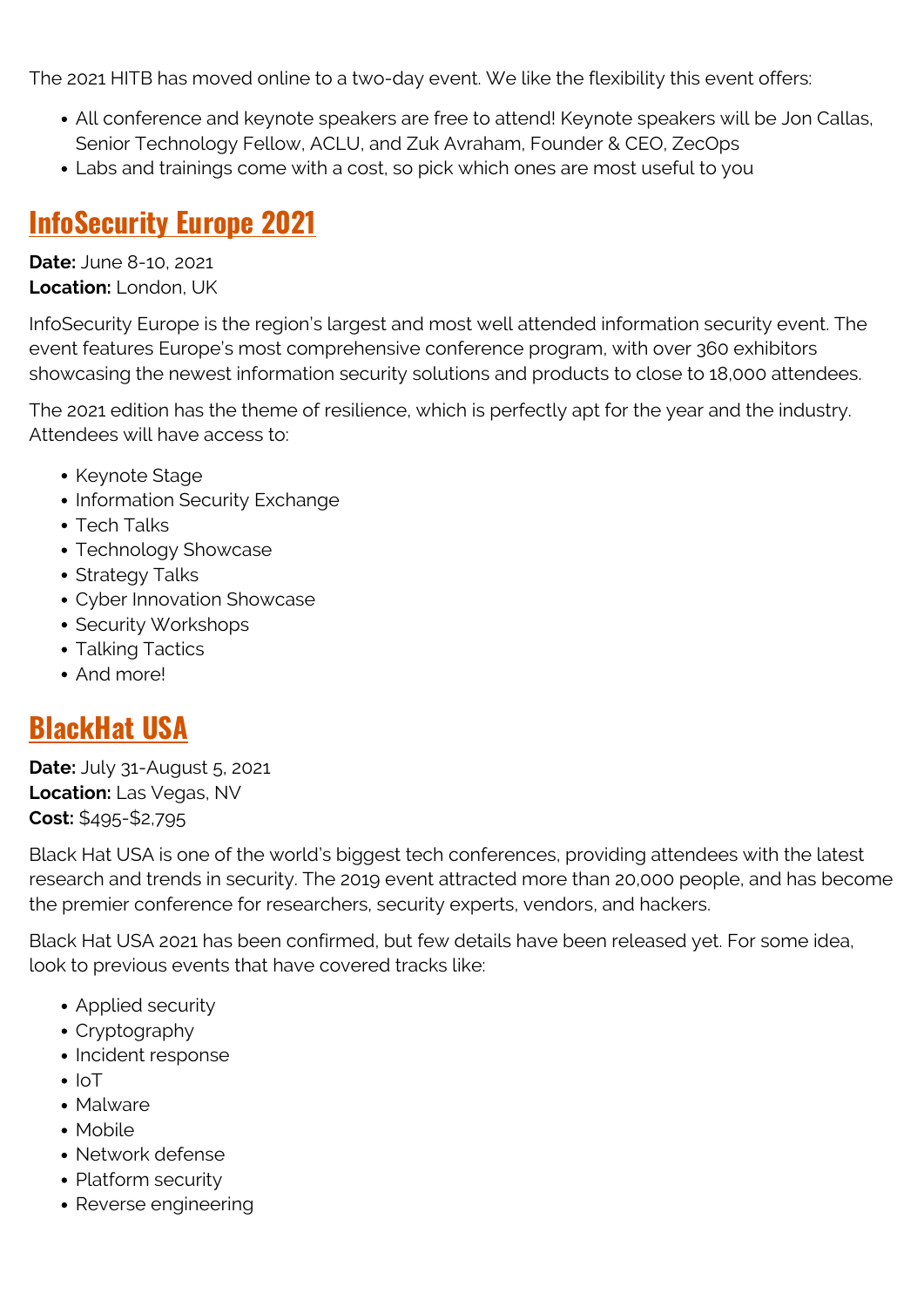The 2021 HITB has moved online to a two-day event. We like the flexibility this event offers:

- All conference and keynote speakers are free to attend! Keynote speakers will be Jon Callas, Senior Technology Fellow, ACLU, and Zuk Avraham, Founder & CEO, ZecOps
- Labs and trainings come with a cost, so pick which ones are most useful to you

## **[InfoSecurity Europe 2021](https://www.infosecurityeurope.com/en/conference/)**

**Date:** June 8-10, 2021 **Location:** London, UK

InfoSecurity Europe is the region's largest and most well attended information security event. The event features Europe's most comprehensive conference program, with over 360 exhibitors showcasing the newest information security solutions and products to close to 18,000 attendees.

The 2021 edition has the theme of resilience, which is perfectly apt for the year and the industry. Attendees will have access to:

- Keynote Stage
- Information Security Exchange
- Tech Talks
- Technology Showcase
- Strategy Talks
- Cyber Innovation Showcase
- Security Workshops
- Talking Tactics
- And more!

## **[BlackHat USA](https://blackhat.com/)**

**Date:** July 31-August 5, 2021 **Location:** Las Vegas, NV **Cost:** \$495-\$2,795

Black Hat USA is one of the world's biggest tech conferences, providing attendees with the latest research and trends in security. The 2019 event attracted more than 20,000 people, and has become the premier conference for researchers, security experts, vendors, and hackers.

Black Hat USA 2021 has been confirmed, but few details have been released yet. For some idea, look to previous events that have covered tracks like:

- Applied security
- Cryptography
- Incident response
- $\cdot$  IoT
- Malware
- Mobile
- Network defense
- Platform security
- Reverse engineering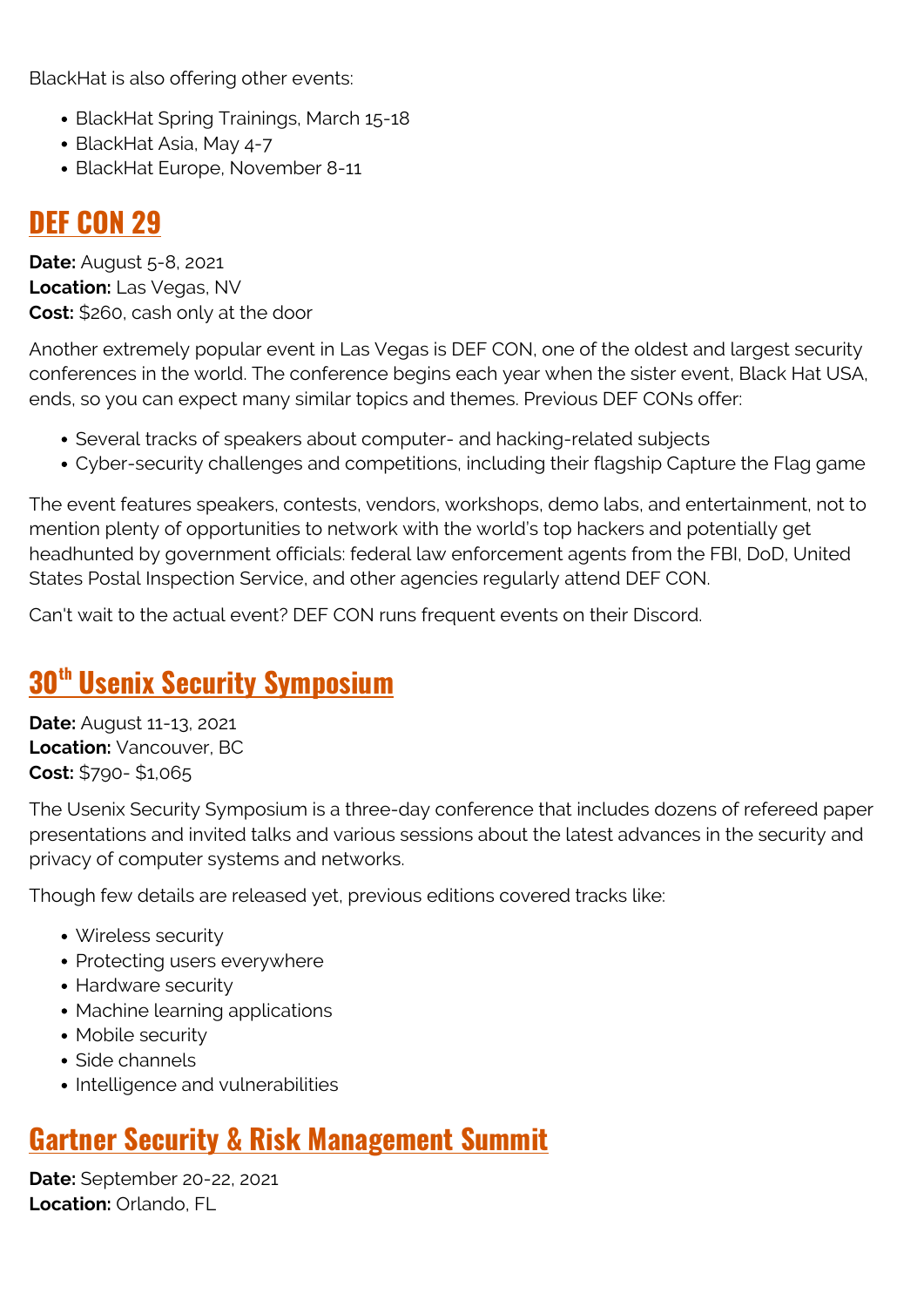BlackHat is also offering other events:

- BlackHat Spring Trainings, March 15-18
- BlackHat Asia, May 4-7
- BlackHat Europe, November 8-11

## **[DEF CON 29](https://www.defcon.org/)**

**Date:** August 5-8, 2021 **Location:** Las Vegas, NV **Cost:** \$260, cash only at the door

Another extremely popular event in Las Vegas is DEF CON, one of the oldest and largest security conferences in the world. The conference begins each year when the sister event, Black Hat USA, ends, so you can expect many similar topics and themes. Previous DEF CONs offer:

- Several tracks of speakers about computer- and hacking-related subjects
- Cyber-security challenges and competitions, including their flagship Capture the Flag game

The event features speakers, contests, vendors, workshops, demo labs, and entertainment, not to mention plenty of opportunities to network with the world's top hackers and potentially get headhunted by government officials: federal law enforcement agents from the FBI, DoD, United States Postal Inspection Service, and other agencies regularly attend DEF CON.

Can't wait to the actual event? DEF CON runs frequent events on their Discord.

## **[30](https://www.usenix.org/conference/usenixsecurity20)[th](https://www.usenix.org/conference/usenixsecurity20) [Usenix Security Symposium](https://www.usenix.org/conference/usenixsecurity20)**

**Date:** August 11-13, 2021 **Location:** Vancouver, BC **Cost:** \$790- \$1,065

The Usenix Security Symposium is a three-day conference that includes dozens of refereed paper presentations and invited talks and various sessions about the latest advances in the security and privacy of computer systems and networks.

Though few details are released yet, previous editions covered tracks like:

- Wireless security
- Protecting users everywhere
- Hardware security
- Machine learning applications
- Mobile security
- Side channels
- Intelligence and vulnerabilities

## **[Gartner Security & Risk Management Summit](https://www.gartner.com/en/conferences/na/security-risk-management-us)**

**Date:** September 20-22, 2021 **Location:** Orlando, FL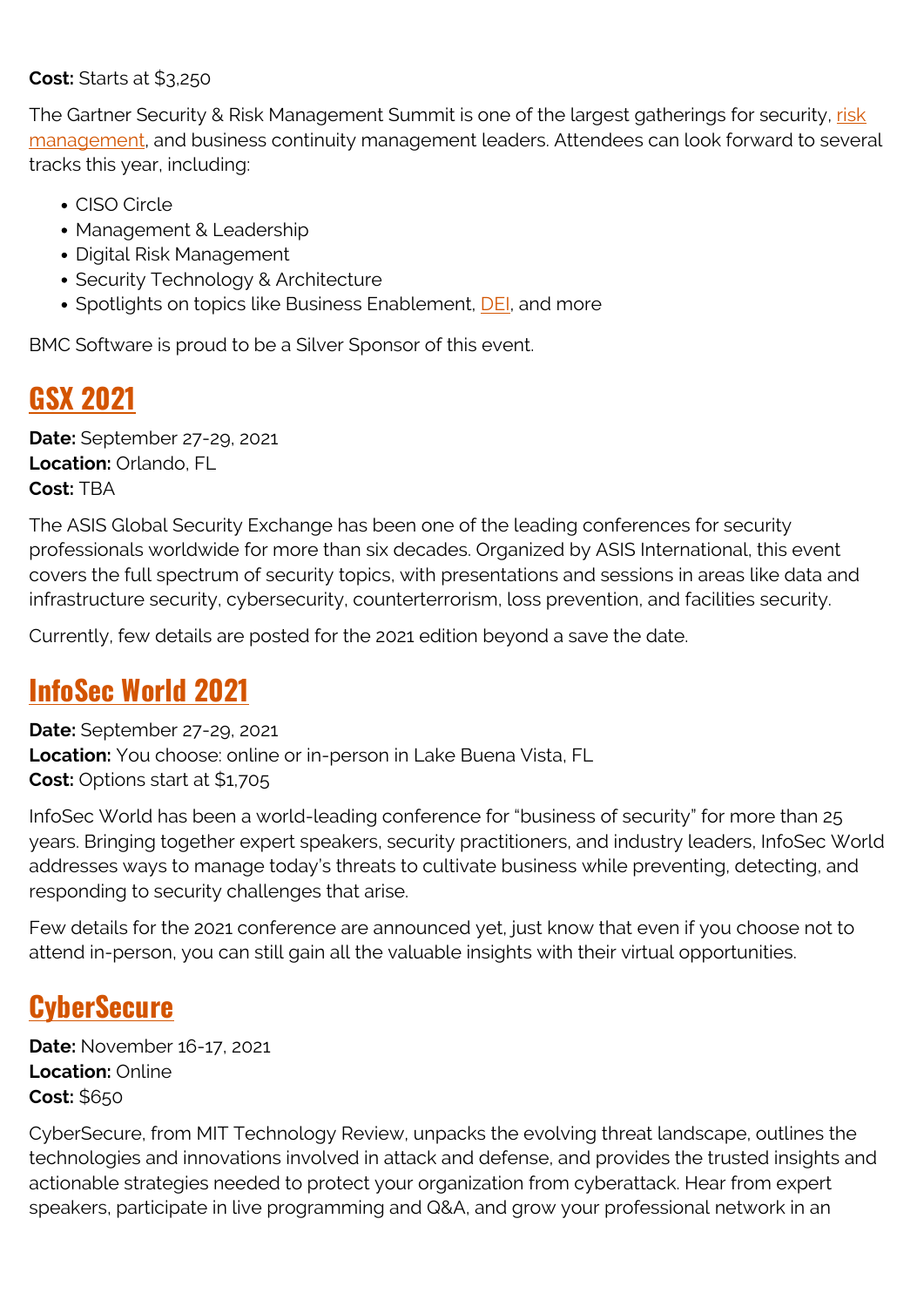#### **Cost:** Starts at \$3,250

The Gartner Security & Risk Management Summit is one of the largest gatherings for security, [risk](https://blogs.bmc.com/blogs/security-risk-management-governance/) [management](https://blogs.bmc.com/blogs/security-risk-management-governance/), and business continuity management leaders. Attendees can look forward to several tracks this year, including:

- CISO Circle
- Management & Leadership
- Digital Risk Management
- Security Technology & Architecture
- Spotlights on topics like Business Enablement, [DEI,](https://blogs.bmc.com/blogs/inclusion-is-better-for-business/) and more

BMC Software is proud to be a Silver Sponsor of this event.

## **[GSX 2021](https://www.gsx.org/)**

**Date:** September 27-29, 2021 **Location:** Orlando, FL **Cost:** TBA

The ASIS Global Security Exchange has been one of the leading conferences for security professionals worldwide for more than six decades. Organized by ASIS International, this event covers the full spectrum of security topics, with presentations and sessions in areas like data and infrastructure security, cybersecurity, counterterrorism, loss prevention, and facilities security.

Currently, few details are posted for the 2021 edition beyond a save the date.

## **[InfoSec World 2021](https://www.infosecworldusa.com/)**

**Date:** September 27-29, 2021 **Location:** You choose: online or in-person in Lake Buena Vista, FL **Cost:** Options start at \$1,705

InfoSec World has been a world-leading conference for "business of security" for more than 25 years. Bringing together expert speakers, security practitioners, and industry leaders, InfoSec World addresses ways to manage today's threats to cultivate business while preventing, detecting, and responding to security challenges that arise.

Few details for the 2021 conference are announced yet, just know that even if you choose not to attend in-person, you can still gain all the valuable insights with their virtual opportunities.

#### **[CyberSecure](https://event.technologyreview.com/cyber-secure-2021/)**

**Date:** November 16-17, 2021 **Location:** Online **Cost:** \$650

CyberSecure, from MIT Technology Review, unpacks the evolving threat landscape, outlines the technologies and innovations involved in attack and defense, and provides the trusted insights and actionable strategies needed to protect your organization from cyberattack. Hear from expert speakers, participate in live programming and Q&A, and grow your professional network in an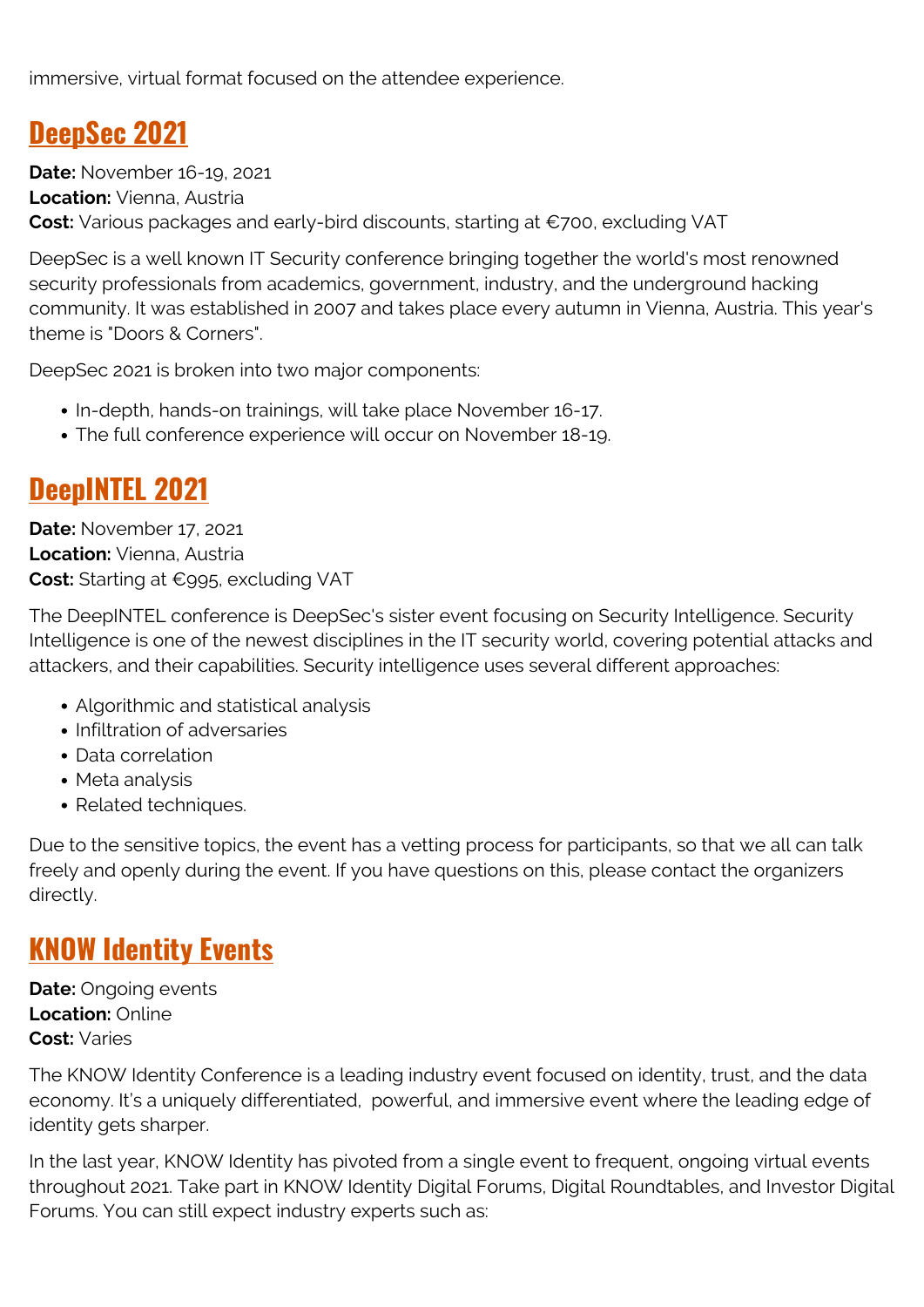immersive, virtual format focused on the attendee experience.

## **[DeepSec 2021](https://deepsec.net/)**

**Date:** November 16-19, 2021 **Location:** Vienna, Austria **Cost:** Various packages and early-bird discounts, starting at €700, excluding VAT

DeepSec is a well known IT Security conference bringing together the world's most renowned security professionals from academics, government, industry, and the underground hacking community. It was established in 2007 and takes place every autumn in Vienna, Austria. This year's theme is "Doors & Corners".

DeepSec 2021 is broken into two major components:

- In-depth, hands-on trainings, will take place November 16-17.
- The full conference experience will occur on November 18-19.

## **[DeepINTEL 2021](https://deepintel.net/index.php)**

**Date:** November 17, 2021 **Location:** Vienna, Austria **Cost:** Starting at €995, excluding VAT

The DeepINTEL conference is DeepSec's sister event focusing on Security Intelligence. Security Intelligence is one of the newest disciplines in the IT security world, covering potential attacks and attackers, and their capabilities. Security intelligence uses several different approaches:

- Algorithmic and statistical analysis
- Infiltration of adversaries
- Data correlation
- Meta analysis
- Related techniques.

Due to the sensitive topics, the event has a vetting process for participants, so that we all can talk freely and openly during the event. If you have questions on this, please contact the organizers directly.

#### **[KNOW Identity Events](https://web.archive.org/web/20210127014059/https://know.oneworldidentity.com/)**

**Date:** Ongoing events **Location:** Online **Cost:** Varies

The KNOW Identity Conference is a leading industry event focused on identity, trust, and the data economy. It's a uniquely differentiated, powerful, and immersive event where the leading edge of identity gets sharper.

In the last year, KNOW Identity has pivoted from a single event to frequent, ongoing virtual events throughout 2021. Take part in KNOW Identity Digital Forums, Digital Roundtables, and Investor Digital Forums. You can still expect industry experts such as: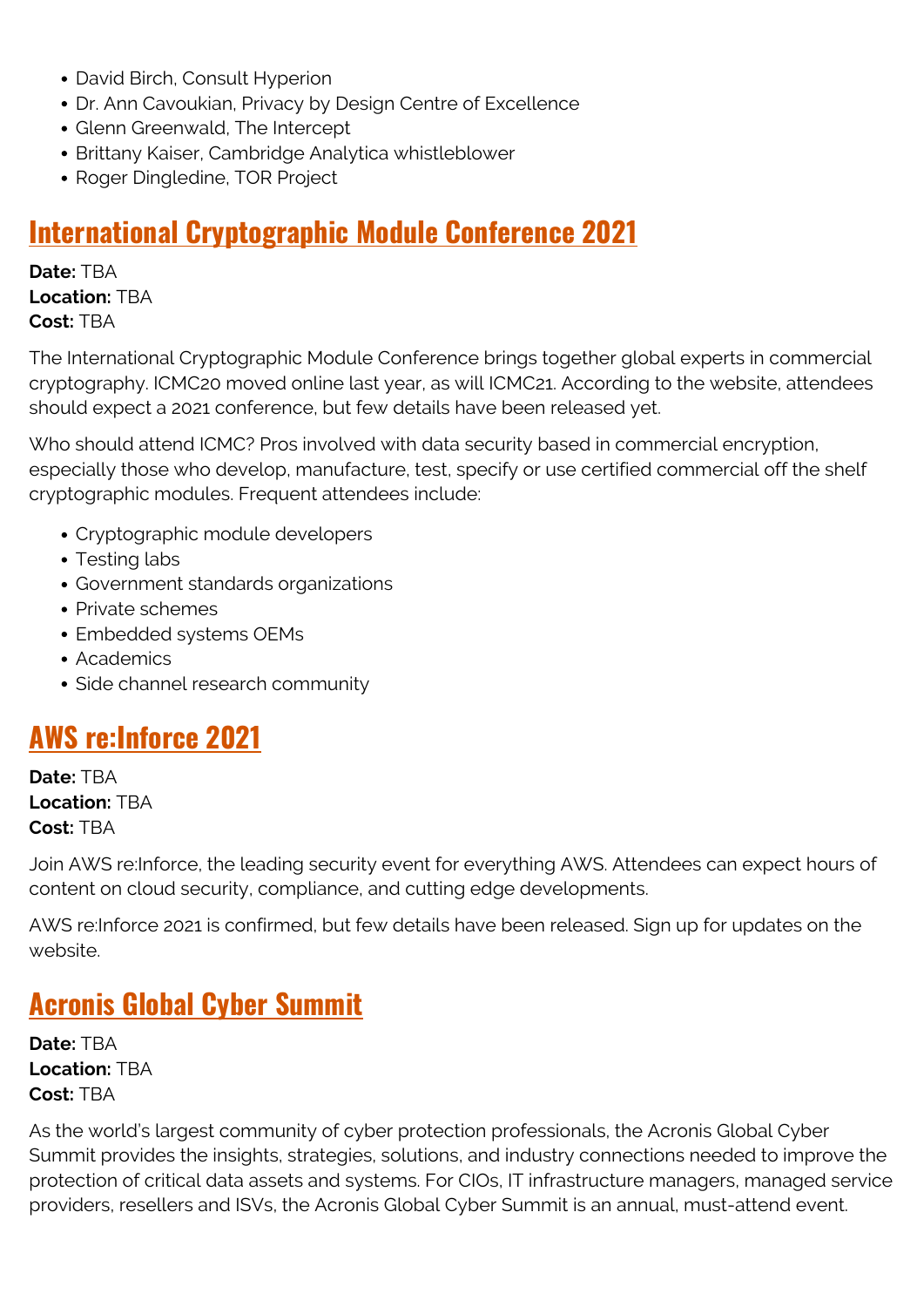- David Birch, Consult Hyperion
- Dr. Ann Cavoukian, Privacy by Design Centre of Excellence
- Glenn Greenwald, The Intercept
- Brittany Kaiser, Cambridge Analytica whistleblower
- Roger Dingledine, TOR Project

#### **[International Cryptographic Module Conference 2021](https://icmconference.org/)**

**Date:** TBA **Location:** TBA **Cost:** TBA

The International Cryptographic Module Conference brings together global experts in commercial cryptography. ICMC20 moved online last year, as will ICMC21. According to the website, attendees should expect a 2021 conference, but few details have been released yet.

Who should attend ICMC? Pros involved with data security based in commercial encryption, especially those who develop, manufacture, test, specify or use certified commercial off the shelf cryptographic modules. Frequent attendees include:

- Cryptographic module developers
- Testing labs
- Government standards organizations
- Private schemes
- Embedded systems OEMs
- Academics
- Side channel research community

#### **[AWS re:Inforce 2021](https://reinforce.awsevents.com/)**

**Date:** TBA **Location:** TBA **Cost:** TBA

Join AWS re:Inforce, the leading security event for everything AWS. Attendees can expect hours of content on cloud security, compliance, and cutting edge developments.

AWS re:Inforce 2021 is confirmed, but few details have been released. Sign up for updates on the website.

## **[Acronis Global Cyber Summit](https://acronis.events/summit2020/)**

**Date:** TBA **Location:** TBA **Cost:** TBA

As the world's largest community of cyber protection professionals, the Acronis Global Cyber Summit provides the insights, strategies, solutions, and industry connections needed to improve the protection of critical data assets and systems. For CIOs, IT infrastructure managers, managed service providers, resellers and ISVs, the Acronis Global Cyber Summit is an annual, must-attend event.